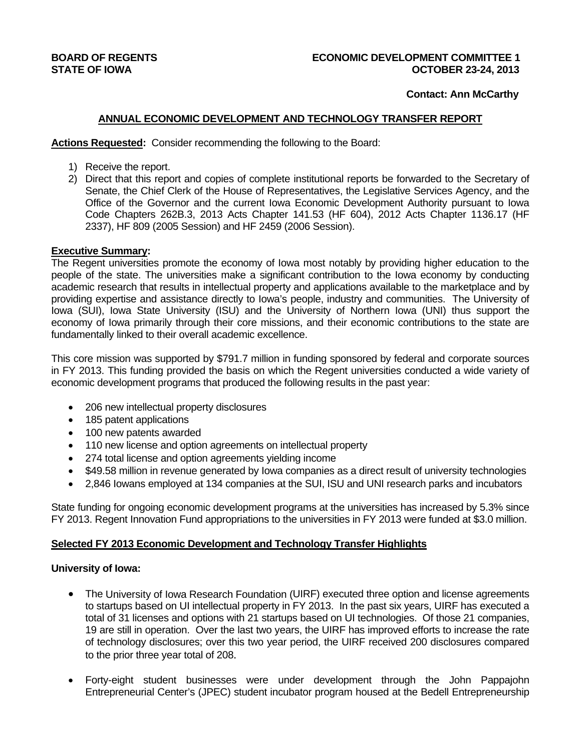# **Contact: Ann McCarthy**

# **ANNUAL ECONOMIC DEVELOPMENT AND TECHNOLOGY TRANSFER REPORT**

**Actions Requested:** Consider recommending the following to the Board:

- 1) Receive the report.
- 2) Direct that this report and copies of complete institutional reports be forwarded to the Secretary of Senate, the Chief Clerk of the House of Representatives, the Legislative Services Agency, and the Office of the Governor and the current Iowa Economic Development Authority pursuant to Iowa Code Chapters 262B.3, 2013 Acts Chapter 141.53 (HF 604), 2012 Acts Chapter 1136.17 (HF 2337), HF 809 (2005 Session) and HF 2459 (2006 Session).

# **Executive Summary:**

The Regent universities promote the economy of Iowa most notably by providing higher education to the people of the state. The universities make a significant contribution to the Iowa economy by conducting academic research that results in intellectual property and applications available to the marketplace and by providing expertise and assistance directly to Iowa's people, industry and communities. The University of Iowa (SUI), Iowa State University (ISU) and the University of Northern Iowa (UNI) thus support the economy of Iowa primarily through their core missions, and their economic contributions to the state are fundamentally linked to their overall academic excellence.

This core mission was supported by \$791.7 million in funding sponsored by federal and corporate sources in FY 2013. This funding provided the basis on which the Regent universities conducted a wide variety of economic development programs that produced the following results in the past year:

- 206 new intellectual property disclosures
- 185 patent applications
- 100 new patents awarded
- 110 new license and option agreements on intellectual property
- 274 total license and option agreements yielding income
- \$49.58 million in revenue generated by Iowa companies as a direct result of university technologies
- 2,846 Iowans employed at 134 companies at the SUI, ISU and UNI research parks and incubators

State funding for ongoing economic development programs at the universities has increased by 5.3% since FY 2013. Regent Innovation Fund appropriations to the universities in FY 2013 were funded at \$3.0 million.

# **Selected FY 2013 Economic Development and Technology Transfer Highlights**

# **University of Iowa:**

- The University of Iowa Research Foundation (UIRF) executed three option and license agreements to startups based on UI intellectual property in FY 2013. In the past six years, UIRF has executed a total of 31 licenses and options with 21 startups based on UI technologies. Of those 21 companies, 19 are still in operation. Over the last two years, the UIRF has improved efforts to increase the rate of technology disclosures; over this two year period, the UIRF received 200 disclosures compared to the prior three year total of 208.
- Forty-eight student businesses were under development through the John Pappajohn Entrepreneurial Center's (JPEC) student incubator program housed at the Bedell Entrepreneurship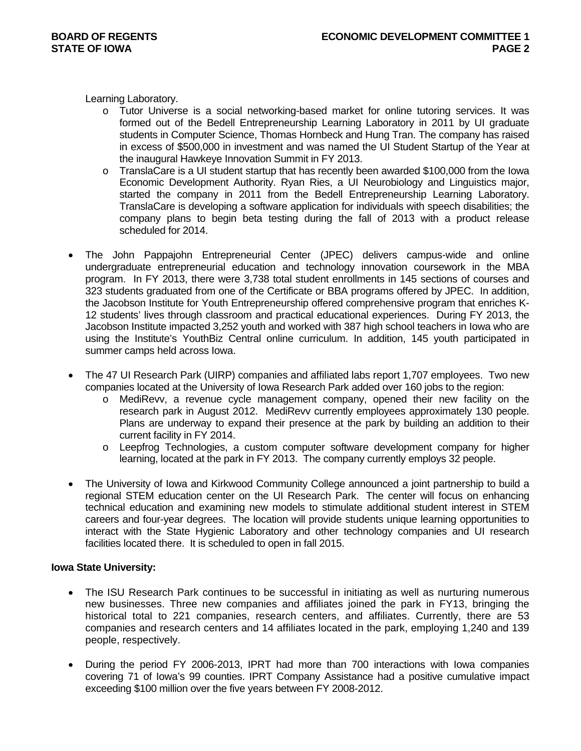Learning Laboratory.

- o Tutor Universe is a social networking-based market for online tutoring services. It was formed out of the Bedell Entrepreneurship Learning Laboratory in 2011 by UI graduate students in Computer Science, Thomas Hornbeck and Hung Tran. The company has raised in excess of \$500,000 in investment and was named the UI Student Startup of the Year at the inaugural Hawkeye Innovation Summit in FY 2013.
- o TranslaCare is a UI student startup that has recently been awarded \$100,000 from the Iowa Economic Development Authority. Ryan Ries, a UI Neurobiology and Linguistics major, started the company in 2011 from the Bedell Entrepreneurship Learning Laboratory. TranslaCare is developing a software application for individuals with speech disabilities; the company plans to begin beta testing during the fall of 2013 with a product release scheduled for 2014.
- The John Pappajohn Entrepreneurial Center (JPEC) delivers campus-wide and online undergraduate entrepreneurial education and technology innovation coursework in the MBA program. In FY 2013, there were 3,738 total student enrollments in 145 sections of courses and 323 students graduated from one of the Certificate or BBA programs offered by JPEC. In addition, the Jacobson Institute for Youth Entrepreneurship offered comprehensive program that enriches K-12 students' lives through classroom and practical educational experiences. During FY 2013, the Jacobson Institute impacted 3,252 youth and worked with 387 high school teachers in Iowa who are using the Institute's YouthBiz Central online curriculum. In addition, 145 youth participated in summer camps held across Iowa.
- The 47 UI Research Park (UIRP) companies and affiliated labs report 1,707 employees. Two new companies located at the University of Iowa Research Park added over 160 jobs to the region:
	- o MediRevv, a revenue cycle management company, opened their new facility on the research park in August 2012. MediRevv currently employees approximately 130 people. Plans are underway to expand their presence at the park by building an addition to their current facility in FY 2014.
	- o Leepfrog Technologies, a custom computer software development company for higher learning, located at the park in FY 2013. The company currently employs 32 people.
- The University of Iowa and Kirkwood Community College announced a joint partnership to build a regional STEM education center on the UI Research Park. The center will focus on enhancing technical education and examining new models to stimulate additional student interest in STEM careers and four-year degrees. The location will provide students unique learning opportunities to interact with the State Hygienic Laboratory and other technology companies and UI research facilities located there. It is scheduled to open in fall 2015.

# **Iowa State University:**

- The ISU Research Park continues to be successful in initiating as well as nurturing numerous new businesses. Three new companies and affiliates joined the park in FY13, bringing the historical total to 221 companies, research centers, and affiliates. Currently, there are 53 companies and research centers and 14 affiliates located in the park, employing 1,240 and 139 people, respectively.
- During the period FY 2006-2013, IPRT had more than 700 interactions with lowa companies covering 71 of Iowa's 99 counties. IPRT Company Assistance had a positive cumulative impact exceeding \$100 million over the five years between FY 2008-2012.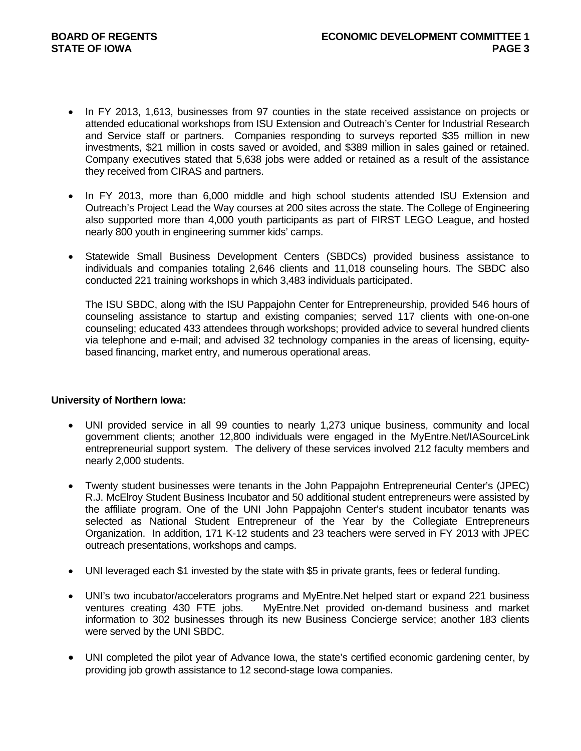- In FY 2013, 1,613, businesses from 97 counties in the state received assistance on projects or attended educational workshops from ISU Extension and Outreach's Center for Industrial Research and Service staff or partners. Companies responding to surveys reported \$35 million in new investments, \$21 million in costs saved or avoided, and \$389 million in sales gained or retained. Company executives stated that 5,638 jobs were added or retained as a result of the assistance they received from CIRAS and partners.
- In FY 2013, more than 6,000 middle and high school students attended ISU Extension and Outreach's Project Lead the Way courses at 200 sites across the state. The College of Engineering also supported more than 4,000 youth participants as part of FIRST LEGO League, and hosted nearly 800 youth in engineering summer kids' camps.
- Statewide Small Business Development Centers (SBDCs) provided business assistance to individuals and companies totaling 2,646 clients and 11,018 counseling hours. The SBDC also conducted 221 training workshops in which 3,483 individuals participated.

The ISU SBDC, along with the ISU Pappajohn Center for Entrepreneurship, provided 546 hours of counseling assistance to startup and existing companies; served 117 clients with one-on-one counseling; educated 433 attendees through workshops; provided advice to several hundred clients via telephone and e-mail; and advised 32 technology companies in the areas of licensing, equitybased financing, market entry, and numerous operational areas.

# **University of Northern Iowa:**

- UNI provided service in all 99 counties to nearly 1,273 unique business, community and local government clients; another 12,800 individuals were engaged in the MyEntre.Net/IASourceLink entrepreneurial support system. The delivery of these services involved 212 faculty members and nearly 2,000 students.
- Twenty student businesses were tenants in the John Pappajohn Entrepreneurial Center's (JPEC) R.J. McElroy Student Business Incubator and 50 additional student entrepreneurs were assisted by the affiliate program. One of the UNI John Pappajohn Center's student incubator tenants was selected as National Student Entrepreneur of the Year by the Collegiate Entrepreneurs Organization. In addition, 171 K-12 students and 23 teachers were served in FY 2013 with JPEC outreach presentations, workshops and camps.
- UNI leveraged each \$1 invested by the state with \$5 in private grants, fees or federal funding.
- UNI's two incubator/accelerators programs and MyEntre.Net helped start or expand 221 business ventures creating 430 FTE jobs. MyEntre.Net provided on-demand business and market information to 302 businesses through its new Business Concierge service; another 183 clients were served by the UNI SBDC.
- UNI completed the pilot year of Advance Iowa, the state's certified economic gardening center, by providing job growth assistance to 12 second-stage Iowa companies.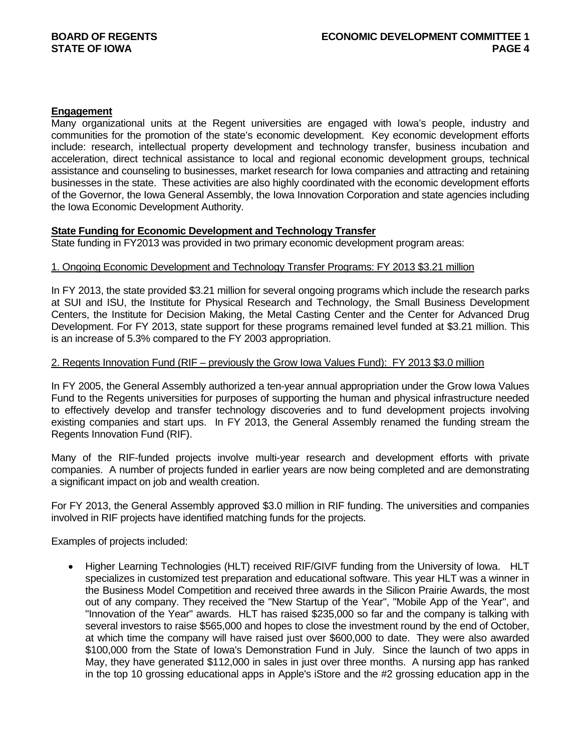# **Engagement**

Many organizational units at the Regent universities are engaged with Iowa's people, industry and communities for the promotion of the state's economic development. Key economic development efforts include: research, intellectual property development and technology transfer, business incubation and acceleration, direct technical assistance to local and regional economic development groups, technical assistance and counseling to businesses, market research for Iowa companies and attracting and retaining businesses in the state. These activities are also highly coordinated with the economic development efforts of the Governor, the Iowa General Assembly, the Iowa Innovation Corporation and state agencies including the Iowa Economic Development Authority.

# **State Funding for Economic Development and Technology Transfer**

State funding in FY2013 was provided in two primary economic development program areas:

# 1. Ongoing Economic Development and Technology Transfer Programs: FY 2013 \$3.21 million

In FY 2013, the state provided \$3.21 million for several ongoing programs which include the research parks at SUI and ISU, the Institute for Physical Research and Technology, the Small Business Development Centers, the Institute for Decision Making, the Metal Casting Center and the Center for Advanced Drug Development. For FY 2013, state support for these programs remained level funded at \$3.21 million. This is an increase of 5.3% compared to the FY 2003 appropriation.

# 2. Regents Innovation Fund (RIF – previously the Grow Iowa Values Fund): FY 2013 \$3.0 million

In FY 2005, the General Assembly authorized a ten-year annual appropriation under the Grow Iowa Values Fund to the Regents universities for purposes of supporting the human and physical infrastructure needed to effectively develop and transfer technology discoveries and to fund development projects involving existing companies and start ups. In FY 2013, the General Assembly renamed the funding stream the Regents Innovation Fund (RIF).

Many of the RIF-funded projects involve multi-year research and development efforts with private companies. A number of projects funded in earlier years are now being completed and are demonstrating a significant impact on job and wealth creation.

For FY 2013, the General Assembly approved \$3.0 million in RIF funding. The universities and companies involved in RIF projects have identified matching funds for the projects.

Examples of projects included:

• Higher Learning Technologies (HLT) received RIF/GIVF funding from the University of Iowa. HLT specializes in customized test preparation and educational software. This year HLT was a winner in the Business Model Competition and received three awards in the Silicon Prairie Awards, the most out of any company. They received the "New Startup of the Year", "Mobile App of the Year", and "Innovation of the Year" awards. HLT has raised \$235,000 so far and the company is talking with several investors to raise \$565,000 and hopes to close the investment round by the end of October, at which time the company will have raised just over \$600,000 to date. They were also awarded \$100,000 from the State of Iowa's Demonstration Fund in July. Since the launch of two apps in May, they have generated \$112,000 in sales in just over three months. A nursing app has ranked in the top 10 grossing educational apps in Apple's iStore and the #2 grossing education app in the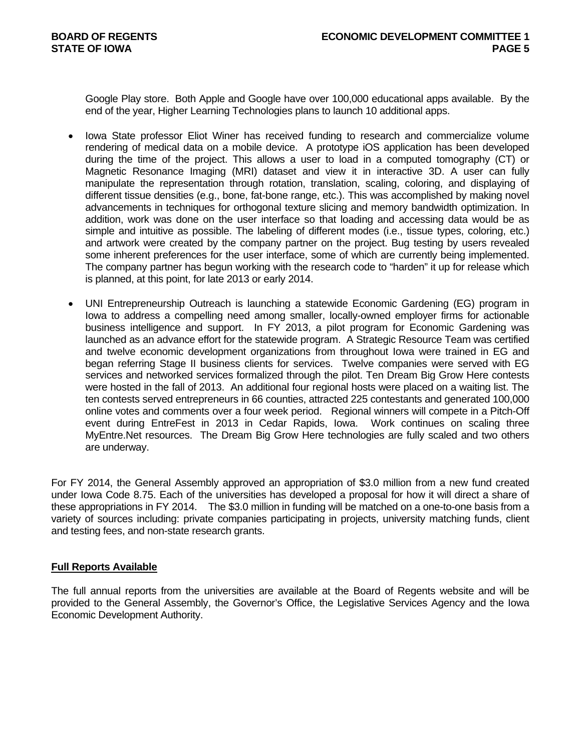Google Play store. Both Apple and Google have over 100,000 educational apps available. By the end of the year, Higher Learning Technologies plans to launch 10 additional apps.

- Iowa State professor Eliot Winer has received funding to research and commercialize volume rendering of medical data on a mobile device. A prototype iOS application has been developed during the time of the project. This allows a user to load in a computed tomography (CT) or Magnetic Resonance Imaging (MRI) dataset and view it in interactive 3D. A user can fully manipulate the representation through rotation, translation, scaling, coloring, and displaying of different tissue densities (e.g., bone, fat-bone range, etc.). This was accomplished by making novel advancements in techniques for orthogonal texture slicing and memory bandwidth optimization. In addition, work was done on the user interface so that loading and accessing data would be as simple and intuitive as possible. The labeling of different modes (i.e., tissue types, coloring, etc.) and artwork were created by the company partner on the project. Bug testing by users revealed some inherent preferences for the user interface, some of which are currently being implemented. The company partner has begun working with the research code to "harden" it up for release which is planned, at this point, for late 2013 or early 2014.
- UNI Entrepreneurship Outreach is launching a statewide Economic Gardening (EG) program in Iowa to address a compelling need among smaller, locally-owned employer firms for actionable business intelligence and support. In FY 2013, a pilot program for Economic Gardening was launched as an advance effort for the statewide program. A Strategic Resource Team was certified and twelve economic development organizations from throughout Iowa were trained in EG and began referring Stage II business clients for services. Twelve companies were served with EG services and networked services formalized through the pilot. Ten Dream Big Grow Here contests were hosted in the fall of 2013. An additional four regional hosts were placed on a waiting list. The ten contests served entrepreneurs in 66 counties, attracted 225 contestants and generated 100,000 online votes and comments over a four week period. Regional winners will compete in a Pitch-Off event during EntreFest in 2013 in Cedar Rapids, Iowa. Work continues on scaling three MyEntre.Net resources. The Dream Big Grow Here technologies are fully scaled and two others are underway.

For FY 2014, the General Assembly approved an appropriation of \$3.0 million from a new fund created under Iowa Code 8.75. Each of the universities has developed a proposal for how it will direct a share of these appropriations in FY 2014. The \$3.0 million in funding will be matched on a one-to-one basis from a variety of sources including: private companies participating in projects, university matching funds, client and testing fees, and non-state research grants.

# **Full Reports Available**

The full annual reports from the universities are available at the Board of Regents website and will be provided to the General Assembly, the Governor's Office, the Legislative Services Agency and the Iowa Economic Development Authority.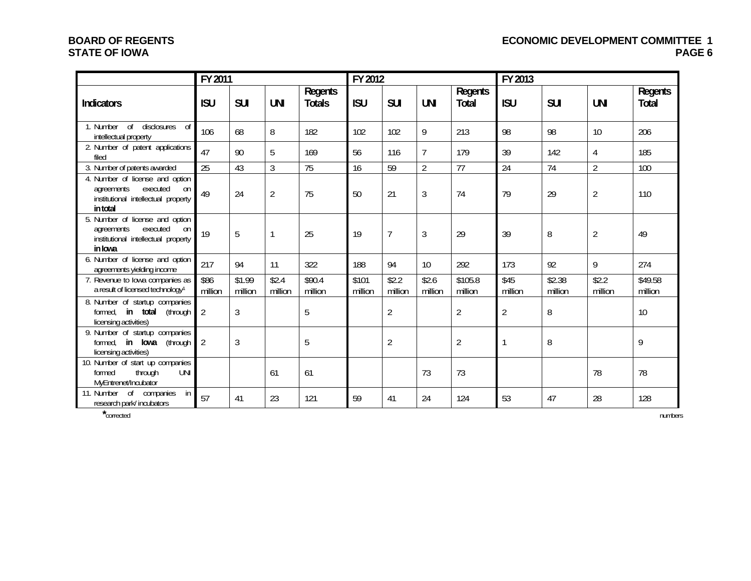# **BOARD OF REGENTS ECONOMIC DEVELOPMENT COMMITTEE 1**  PAGE 6

# **STATE OF IOWA**

|                                                                                                                    | FY 2011         |                   |                  |                          | FY 2012          |                  |                  |                    | FY 2013         |                   |                  |                    |
|--------------------------------------------------------------------------------------------------------------------|-----------------|-------------------|------------------|--------------------------|------------------|------------------|------------------|--------------------|-----------------|-------------------|------------------|--------------------|
| <b>Indicators</b>                                                                                                  | <b>ISU</b>      | <b>SUI</b>        | <b>UNI</b>       | Regents<br><b>Totals</b> | <b>ISU</b>       | <b>SUI</b>       | <b>UNI</b>       | Regents<br>Total   | <b>ISU</b>      | <b>SUI</b>        | <b>UNI</b>       | Regents<br>Total   |
| $\circ$<br>disclosures<br>1. Number<br>$\sigma$<br>intellectual property                                           | 106             | 68                | 8                | 182                      | 102              | 102              | 9                | 213                | 98              | 98                | 10               | 206                |
| 2. Number of patent applications<br>filed                                                                          | 47              | 90                | 5                | 169                      | 56               | 116              | $\overline{7}$   | 179                | 39              | 142               | 4                | 185                |
| 3. Number of patents awarded                                                                                       | $\overline{25}$ | 43                | $\mathfrak{Z}$   | $\overline{75}$          | 16               | 59               | $\overline{2}$   | 77                 | 24              | 74                | $\overline{2}$   | 100                |
| 4. Number of license and option<br>agreements<br>executed<br>on<br>institutional intellectual property<br>in total | 49              | 24                | $\overline{2}$   | 75                       | 50               | 21               | $\mathfrak{Z}$   | 74                 | 79              | 29                | $\overline{2}$   | 110                |
| 5. Number of license and option<br>executed<br>agreements<br>on<br>institutional intellectual property<br>in Iowa  | 19              | 5                 | 1                | 25                       | 19               | 7                | $\mathfrak{Z}$   | 29                 | 39              | 8                 | $\overline{2}$   | 49                 |
| 6. Number of license and option<br>agreements yielding income                                                      | 217             | 94                | 11               | 322                      | 188              | 94               | 10               | 292                | 173             | 92                | 9                | 274                |
| 7. Revenue to lowa companies as<br>a result of licensed technology <sup>1</sup>                                    | \$86<br>million | \$1.99<br>million | \$2.4<br>million | \$90.4<br>million        | \$101<br>million | \$2.2<br>million | \$2.6<br>million | \$105.8<br>million | \$45<br>million | \$2.38<br>million | \$2.2<br>million | \$49.58<br>million |
| 8. Number of startup companies<br>in total<br>(through<br>formed.<br>licensing activities)                         | 2               | $\sqrt{3}$        |                  | 5                        |                  | $\overline{2}$   |                  | $\overline{2}$     | $\overline{2}$  | 8                 |                  | 10                 |
| 9. Number of startup companies<br>formed.<br>in Iowa<br>(through<br>licensing activities)                          | $\overline{2}$  | 3                 |                  | 5                        |                  | $\overline{2}$   |                  | $\overline{2}$     |                 | 8                 |                  | 9                  |
| 10. Number of start up companies<br>through<br>UNI<br>formed<br>MyEntrenet/Incubator                               |                 |                   | 61               | 61                       |                  |                  | 73               | 73                 |                 |                   | 78               | 78                 |
| 11. Number<br>0f<br>companies<br>in<br>research park/incubators                                                    | 57              | 41                | 23               | 121                      | 59               | 41               | 24               | 124                | 53              | 47                | 28               | 128                |

**\***corrected numbers